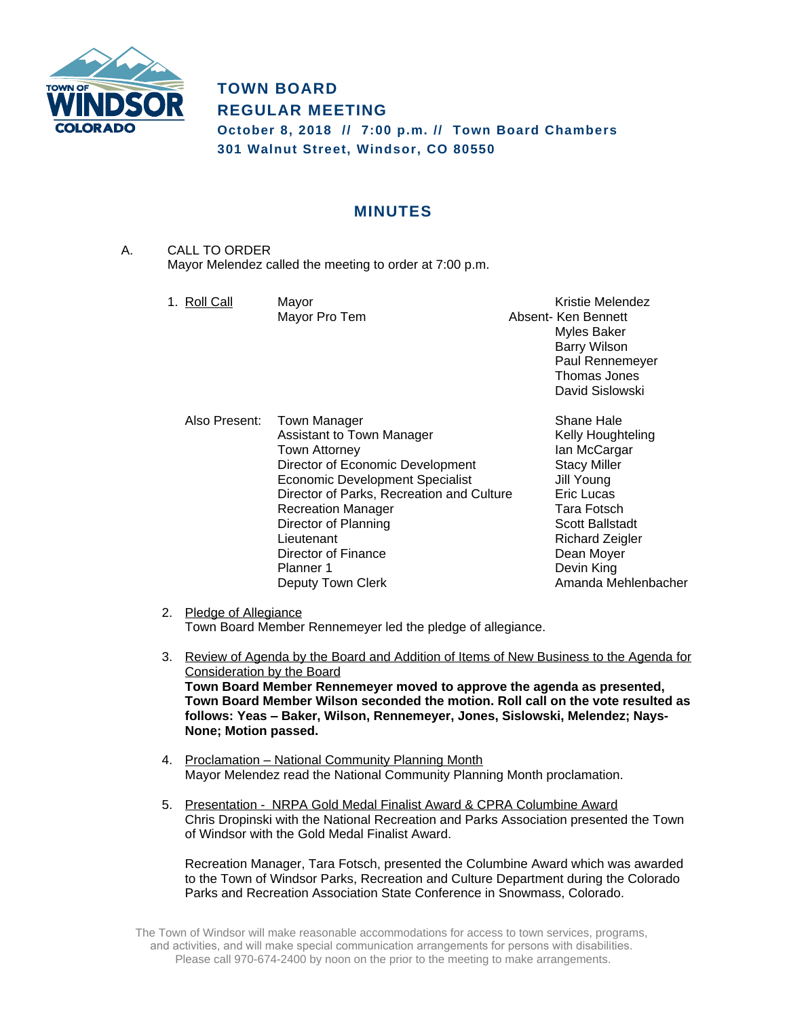

# **TOWN BOARD REGULAR MEETING**

**October 8, 2018 // 7:00 p.m. // Town Board Chambers 301 Walnut Street, Windsor, CO 80550**

# **MINUTES**

A. CALL TO ORDER Mayor Melendez called the meeting to order at 7:00 p.m.

| 1. Roll Call  | Mayor<br>Mayor Pro Tem                                                                                                                                                                                                                                                                                            | Kristie Melendez<br>Absent- Ken Bennett<br><b>Myles Baker</b><br><b>Barry Wilson</b><br>Paul Rennemeyer<br>Thomas Jones<br>David Sislowski                                                                               |
|---------------|-------------------------------------------------------------------------------------------------------------------------------------------------------------------------------------------------------------------------------------------------------------------------------------------------------------------|--------------------------------------------------------------------------------------------------------------------------------------------------------------------------------------------------------------------------|
| Also Present: | Town Manager<br>Assistant to Town Manager<br>Town Attorney<br>Director of Economic Development<br><b>Economic Development Specialist</b><br>Director of Parks, Recreation and Culture<br><b>Recreation Manager</b><br>Director of Planning<br>Lieutenant<br>Director of Finance<br>Planner 1<br>Deputy Town Clerk | Shane Hale<br>Kelly Houghteling<br>lan McCargar<br><b>Stacy Miller</b><br>Jill Young<br>Eric Lucas<br><b>Tara Fotsch</b><br><b>Scott Ballstadt</b><br>Richard Zeigler<br>Dean Moyer<br>Devin King<br>Amanda Mehlenbacher |

- 2. Pledge of Allegiance Town Board Member Rennemeyer led the pledge of allegiance.
- 3. Review of Agenda by the Board and Addition of Items of New Business to the Agenda for Consideration by the Board **Town Board Member Rennemeyer moved to approve the agenda as presented, Town Board Member Wilson seconded the motion. Roll call on the vote resulted as follows: Yeas – Baker, Wilson, Rennemeyer, Jones, Sislowski, Melendez; Nays-None; Motion passed.**
- 4. Proclamation National Community Planning Month Mayor Melendez read the National Community Planning Month proclamation.
- 5. Presentation NRPA Gold Medal Finalist Award & CPRA Columbine Award Chris Dropinski with the National Recreation and Parks Association presented the Town of Windsor with the Gold Medal Finalist Award.

Recreation Manager, Tara Fotsch, presented the Columbine Award which was awarded to the Town of Windsor Parks, Recreation and Culture Department during the Colorado Parks and Recreation Association State Conference in Snowmass, Colorado.

The Town of Windsor will make reasonable accommodations for access to town services, programs, and activities, and will make special communication arrangements for persons with disabilities. Please call 970-674-2400 by noon on the prior to the meeting to make arrangements.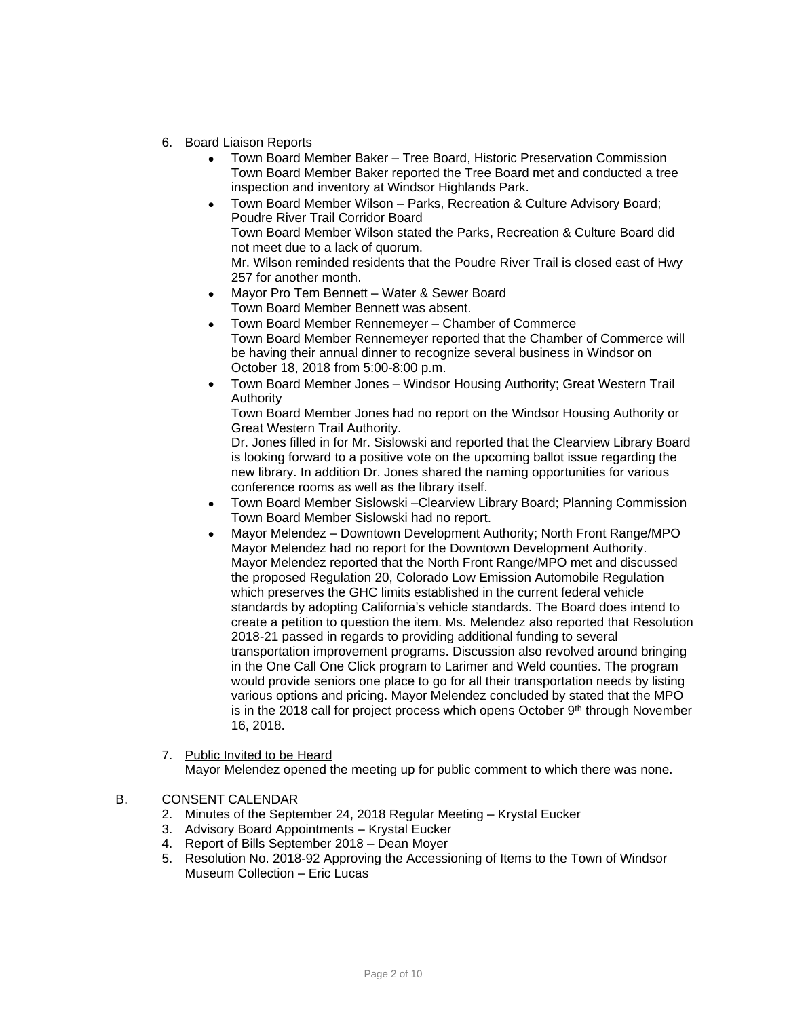- 6. Board Liaison Reports
	- Town Board Member Baker Tree Board, Historic Preservation Commission Town Board Member Baker reported the Tree Board met and conducted a tree inspection and inventory at Windsor Highlands Park.
	- Town Board Member Wilson Parks, Recreation & Culture Advisory Board; Poudre River Trail Corridor Board Town Board Member Wilson stated the Parks, Recreation & Culture Board did not meet due to a lack of quorum. Mr. Wilson reminded residents that the Poudre River Trail is closed east of Hwy 257 for another month.
	- Mayor Pro Tem Bennett Water & Sewer Board Town Board Member Bennett was absent.
	- Town Board Member Rennemeyer Chamber of Commerce Town Board Member Rennemeyer reported that the Chamber of Commerce will be having their annual dinner to recognize several business in Windsor on October 18, 2018 from 5:00-8:00 p.m.
	- Town Board Member Jones Windsor Housing Authority; Great Western Trail Authority

Town Board Member Jones had no report on the Windsor Housing Authority or Great Western Trail Authority.

Dr. Jones filled in for Mr. Sislowski and reported that the Clearview Library Board is looking forward to a positive vote on the upcoming ballot issue regarding the new library. In addition Dr. Jones shared the naming opportunities for various conference rooms as well as the library itself.

- Town Board Member Sislowski –Clearview Library Board; Planning Commission Town Board Member Sislowski had no report.
- Mayor Melendez Downtown Development Authority; North Front Range/MPO Mayor Melendez had no report for the Downtown Development Authority. Mayor Melendez reported that the North Front Range/MPO met and discussed the proposed Regulation 20, Colorado Low Emission Automobile Regulation which preserves the GHC limits established in the current federal vehicle standards by adopting California's vehicle standards. The Board does intend to create a petition to question the item. Ms. Melendez also reported that Resolution 2018-21 passed in regards to providing additional funding to several transportation improvement programs. Discussion also revolved around bringing in the One Call One Click program to Larimer and Weld counties. The program would provide seniors one place to go for all their transportation needs by listing various options and pricing. Mayor Melendez concluded by stated that the MPO is in the 2018 call for project process which opens October  $9<sup>th</sup>$  through November 16, 2018.
- 7. Public Invited to be Heard

Mayor Melendez opened the meeting up for public comment to which there was none.

- B. CONSENT CALENDAR
	- 2. Minutes of the September 24, 2018 Regular Meeting Krystal Eucker
	- 3. Advisory Board Appointments Krystal Eucker
	- 4. Report of Bills September 2018 Dean Moyer
	- 5. Resolution No. 2018-92 Approving the Accessioning of Items to the Town of Windsor Museum Collection – Eric Lucas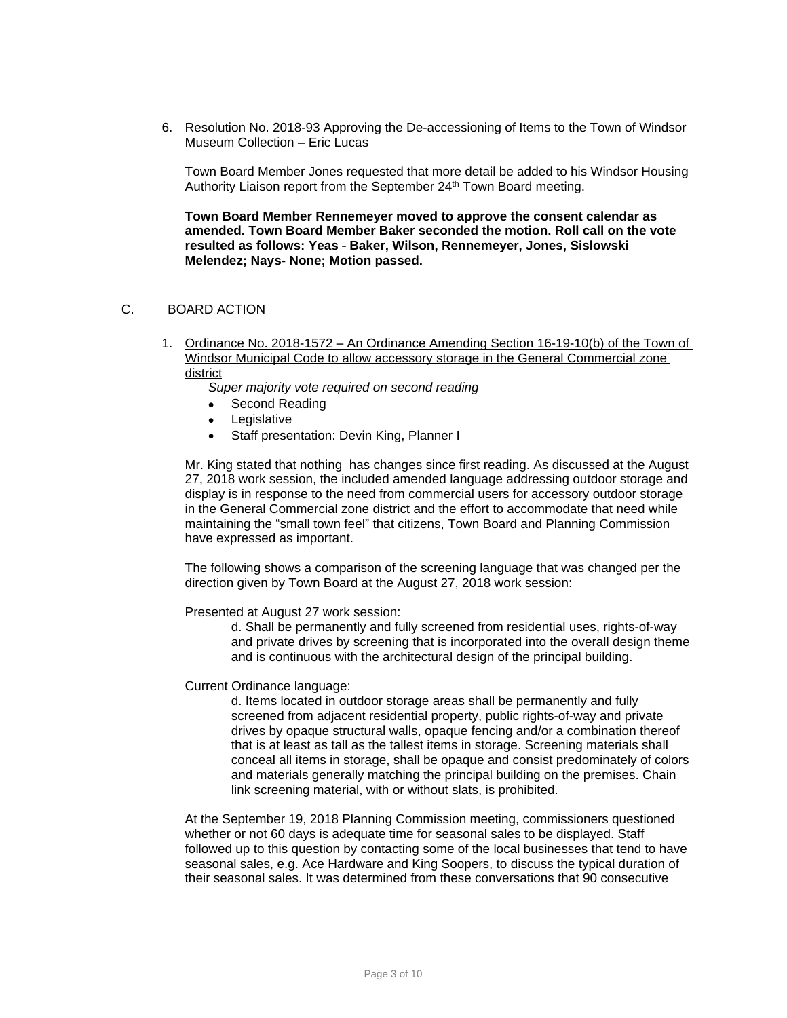6. Resolution No. 2018-93 Approving the De-accessioning of Items to the Town of Windsor Museum Collection – Eric Lucas

Town Board Member Jones requested that more detail be added to his Windsor Housing Authority Liaison report from the September 24<sup>th</sup> Town Board meeting.

**Town Board Member Rennemeyer moved to approve the consent calendar as amended. Town Board Member Baker seconded the motion. Roll call on the vote resulted as follows: Yeas** – **Baker, Wilson, Rennemeyer, Jones, Sislowski Melendez; Nays- None; Motion passed.** 

#### C. BOARD ACTION

1. Ordinance No. 2018-1572 – An Ordinance Amending Section 16-19-10(b) of the Town of Windsor Municipal Code to allow accessory storage in the General Commercial zone district

*Super majority vote required on second reading*

- Second Reading
- Legislative
- Staff presentation: Devin King, Planner I

Mr. King stated that nothing has changes since first reading. As discussed at the August 27, 2018 work session, the included amended language addressing outdoor storage and display is in response to the need from commercial users for accessory outdoor storage in the General Commercial zone district and the effort to accommodate that need while maintaining the "small town feel" that citizens, Town Board and Planning Commission have expressed as important.

The following shows a comparison of the screening language that was changed per the direction given by Town Board at the August 27, 2018 work session:

Presented at August 27 work session:

d. Shall be permanently and fully screened from residential uses, rights-of-way and private drives by screening that is incorporated into the overall design themeand is continuous with the architectural design of the principal building.

#### Current Ordinance language:

d. Items located in outdoor storage areas shall be permanently and fully screened from adjacent residential property, public rights-of-way and private drives by opaque structural walls, opaque fencing and/or a combination thereof that is at least as tall as the tallest items in storage. Screening materials shall conceal all items in storage, shall be opaque and consist predominately of colors and materials generally matching the principal building on the premises. Chain link screening material, with or without slats, is prohibited.

At the September 19, 2018 Planning Commission meeting, commissioners questioned whether or not 60 days is adequate time for seasonal sales to be displayed. Staff followed up to this question by contacting some of the local businesses that tend to have seasonal sales, e.g. Ace Hardware and King Soopers, to discuss the typical duration of their seasonal sales. It was determined from these conversations that 90 consecutive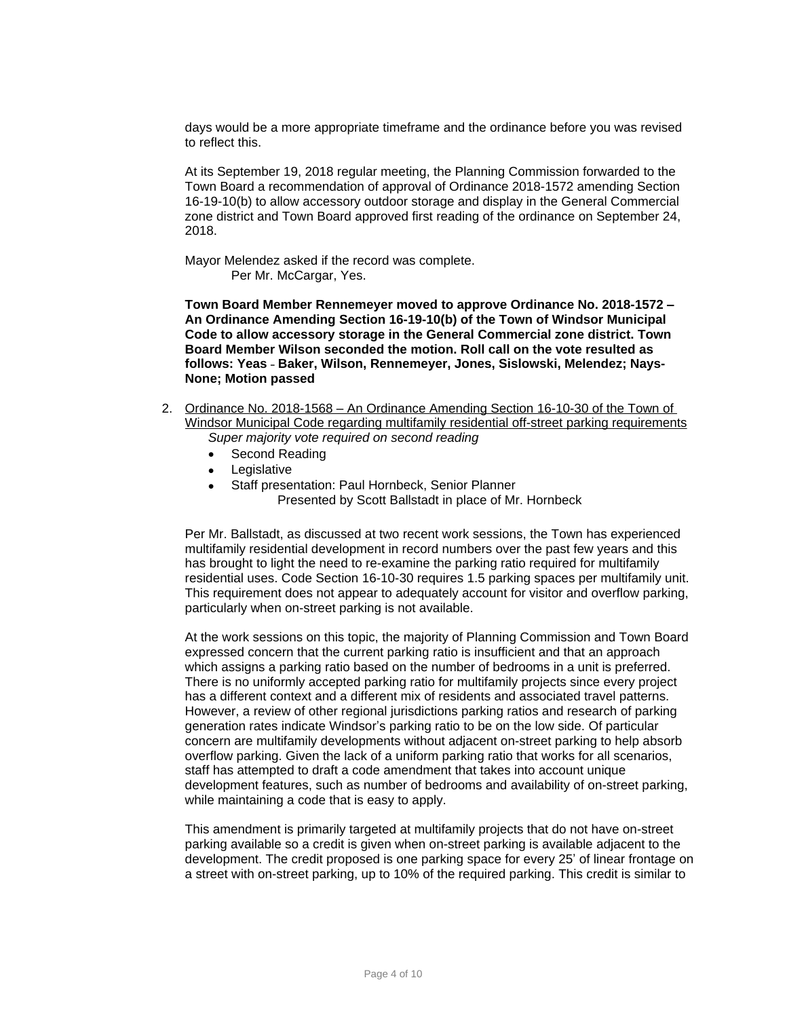days would be a more appropriate timeframe and the ordinance before you was revised to reflect this.

At its September 19, 2018 regular meeting, the Planning Commission forwarded to the Town Board a recommendation of approval of Ordinance 2018-1572 amending Section 16-19-10(b) to allow accessory outdoor storage and display in the General Commercial zone district and Town Board approved first reading of the ordinance on September 24, 2018.

Mayor Melendez asked if the record was complete. Per Mr. McCargar, Yes.

**Town Board Member Rennemeyer moved to approve Ordinance No. 2018-1572 – An Ordinance Amending Section 16-19-10(b) of the Town of Windsor Municipal Code to allow accessory storage in the General Commercial zone district. Town Board Member Wilson seconded the motion. Roll call on the vote resulted as follows: Yeas** – **Baker, Wilson, Rennemeyer, Jones, Sislowski, Melendez; Nays-None; Motion passed**

- 2. Ordinance No. 2018-1568 An Ordinance Amending Section 16-10-30 of the Town of Windsor Municipal Code regarding multifamily residential off-street parking requirements *Super majority vote required on second reading*
	- Second Reading
	- Legislative
	- Staff presentation: Paul Hornbeck, Senior Planner Presented by Scott Ballstadt in place of Mr. Hornbeck

Per Mr. Ballstadt, as discussed at two recent work sessions, the Town has experienced multifamily residential development in record numbers over the past few years and this has brought to light the need to re-examine the parking ratio required for multifamily residential uses. Code Section 16-10-30 requires 1.5 parking spaces per multifamily unit. This requirement does not appear to adequately account for visitor and overflow parking, particularly when on-street parking is not available.

At the work sessions on this topic, the majority of Planning Commission and Town Board expressed concern that the current parking ratio is insufficient and that an approach which assigns a parking ratio based on the number of bedrooms in a unit is preferred. There is no uniformly accepted parking ratio for multifamily projects since every project has a different context and a different mix of residents and associated travel patterns. However, a review of other regional jurisdictions parking ratios and research of parking generation rates indicate Windsor's parking ratio to be on the low side. Of particular concern are multifamily developments without adjacent on-street parking to help absorb overflow parking. Given the lack of a uniform parking ratio that works for all scenarios, staff has attempted to draft a code amendment that takes into account unique development features, such as number of bedrooms and availability of on-street parking, while maintaining a code that is easy to apply.

This amendment is primarily targeted at multifamily projects that do not have on-street parking available so a credit is given when on-street parking is available adjacent to the development. The credit proposed is one parking space for every 25' of linear frontage on a street with on-street parking, up to 10% of the required parking. This credit is similar to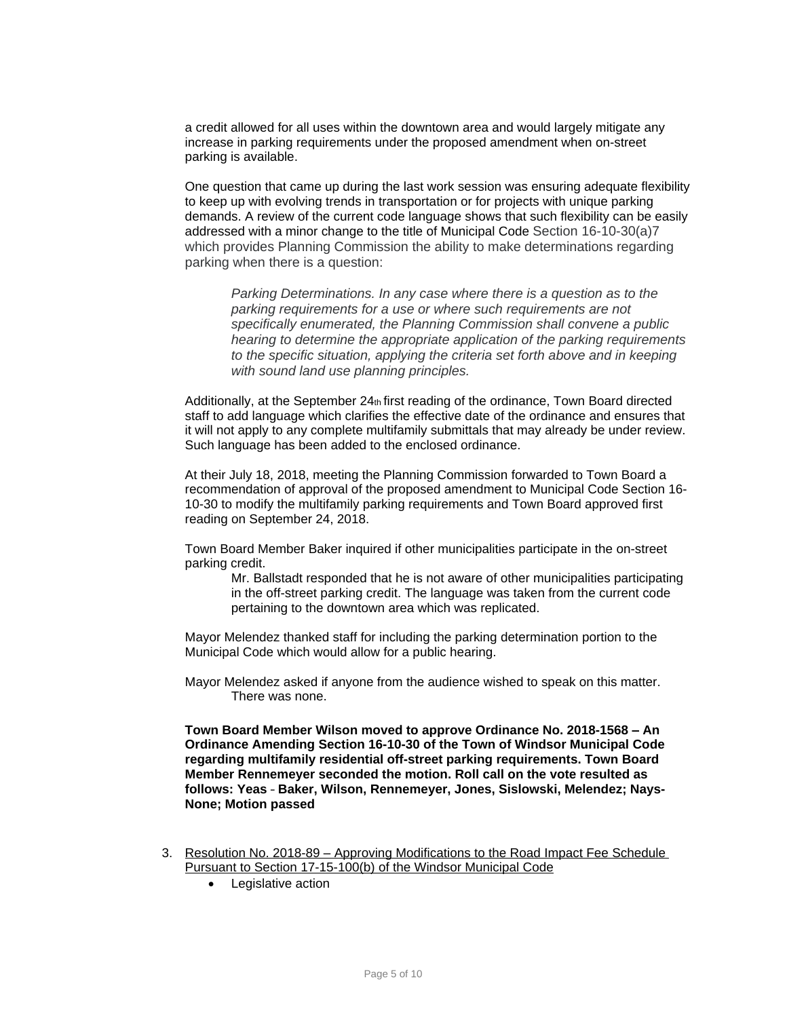a credit allowed for all uses within the downtown area and would largely mitigate any increase in parking requirements under the proposed amendment when on-street parking is available.

One question that came up during the last work session was ensuring adequate flexibility to keep up with evolving trends in transportation or for projects with unique parking demands. A review of the current code language shows that such flexibility can be easily addressed with a minor change to the title of Municipal Code Section 16-10-30(a)7 which provides Planning Commission the ability to make determinations regarding parking when there is a question:

*Parking Determinations. In any case where there is a question as to the parking requirements for a use or where such requirements are not specifically enumerated, the Planning Commission shall convene a public hearing to determine the appropriate application of the parking requirements to the specific situation, applying the criteria set forth above and in keeping with sound land use planning principles.*

Additionally, at the September  $24<sub>th</sub>$  first reading of the ordinance, Town Board directed staff to add language which clarifies the effective date of the ordinance and ensures that it will not apply to any complete multifamily submittals that may already be under review. Such language has been added to the enclosed ordinance.

At their July 18, 2018, meeting the Planning Commission forwarded to Town Board a recommendation of approval of the proposed amendment to Municipal Code Section 16- 10-30 to modify the multifamily parking requirements and Town Board approved first reading on September 24, 2018.

Town Board Member Baker inquired if other municipalities participate in the on-street parking credit.

Mr. Ballstadt responded that he is not aware of other municipalities participating in the off-street parking credit. The language was taken from the current code pertaining to the downtown area which was replicated.

Mayor Melendez thanked staff for including the parking determination portion to the Municipal Code which would allow for a public hearing.

Mayor Melendez asked if anyone from the audience wished to speak on this matter. There was none.

**Town Board Member Wilson moved to approve Ordinance No. 2018-1568 – An Ordinance Amending Section 16-10-30 of the Town of Windsor Municipal Code regarding multifamily residential off-street parking requirements. Town Board Member Rennemeyer seconded the motion. Roll call on the vote resulted as follows: Yeas** – **Baker, Wilson, Rennemeyer, Jones, Sislowski, Melendez; Nays-None; Motion passed**

- 3. Resolution No. 2018-89 Approving Modifications to the Road Impact Fee Schedule Pursuant to Section 17-15-100(b) of the Windsor Municipal Code
	- Legislative action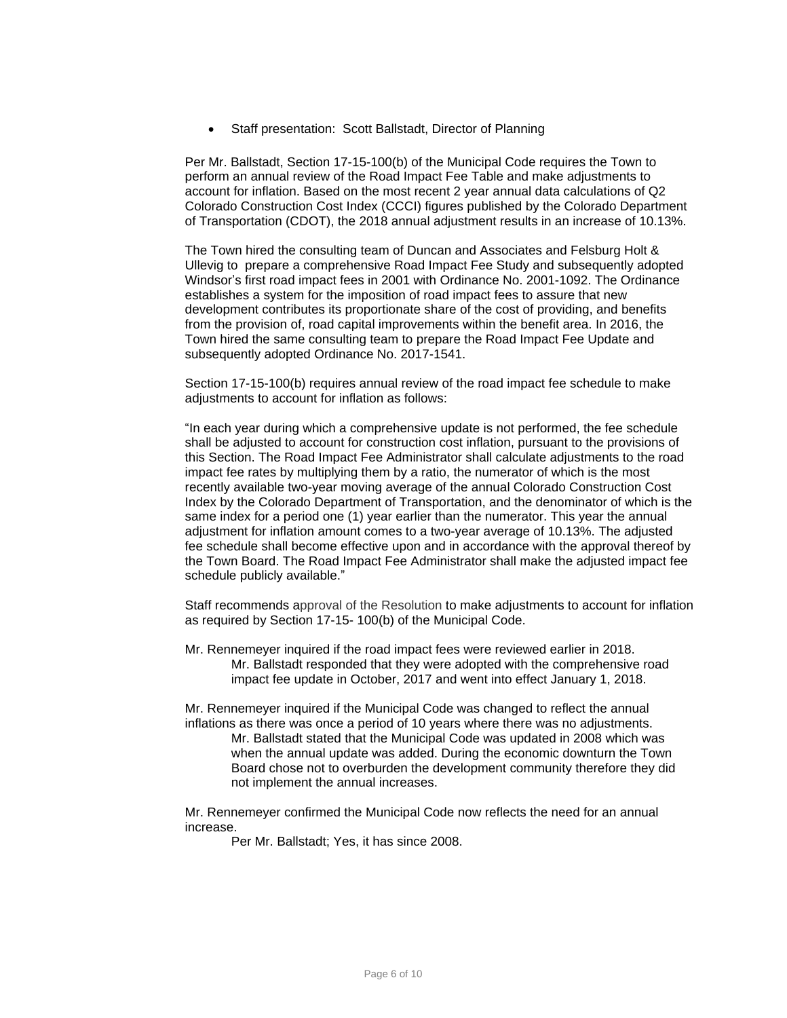Staff presentation: Scott Ballstadt, Director of Planning

Per Mr. Ballstadt, Section 17-15-100(b) of the Municipal Code requires the Town to perform an annual review of the Road Impact Fee Table and make adjustments to account for inflation. Based on the most recent 2 year annual data calculations of Q2 Colorado Construction Cost Index (CCCI) figures published by the Colorado Department of Transportation (CDOT), the 2018 annual adjustment results in an increase of 10.13%.

The Town hired the consulting team of Duncan and Associates and Felsburg Holt & Ullevig to prepare a comprehensive Road Impact Fee Study and subsequently adopted Windsor's first road impact fees in 2001 with Ordinance No. 2001-1092. The Ordinance establishes a system for the imposition of road impact fees to assure that new development contributes its proportionate share of the cost of providing, and benefits from the provision of, road capital improvements within the benefit area. In 2016, the Town hired the same consulting team to prepare the Road Impact Fee Update and subsequently adopted Ordinance No. 2017-1541.

Section 17-15-100(b) requires annual review of the road impact fee schedule to make adjustments to account for inflation as follows:

"In each year during which a comprehensive update is not performed, the fee schedule shall be adjusted to account for construction cost inflation, pursuant to the provisions of this Section. The Road Impact Fee Administrator shall calculate adjustments to the road impact fee rates by multiplying them by a ratio, the numerator of which is the most recently available two-year moving average of the annual Colorado Construction Cost Index by the Colorado Department of Transportation, and the denominator of which is the same index for a period one (1) year earlier than the numerator. This year the annual adjustment for inflation amount comes to a two-year average of 10.13%. The adjusted fee schedule shall become effective upon and in accordance with the approval thereof by the Town Board. The Road Impact Fee Administrator shall make the adjusted impact fee schedule publicly available."

Staff recommends approval of the Resolution to make adjustments to account for inflation as required by Section 17-15- 100(b) of the Municipal Code.

Mr. Rennemeyer inquired if the road impact fees were reviewed earlier in 2018. Mr. Ballstadt responded that they were adopted with the comprehensive road impact fee update in October, 2017 and went into effect January 1, 2018.

Mr. Rennemeyer inquired if the Municipal Code was changed to reflect the annual inflations as there was once a period of 10 years where there was no adjustments. Mr. Ballstadt stated that the Municipal Code was updated in 2008 which was when the annual update was added. During the economic downturn the Town Board chose not to overburden the development community therefore they did not implement the annual increases.

Mr. Rennemeyer confirmed the Municipal Code now reflects the need for an annual increase.

Per Mr. Ballstadt; Yes, it has since 2008.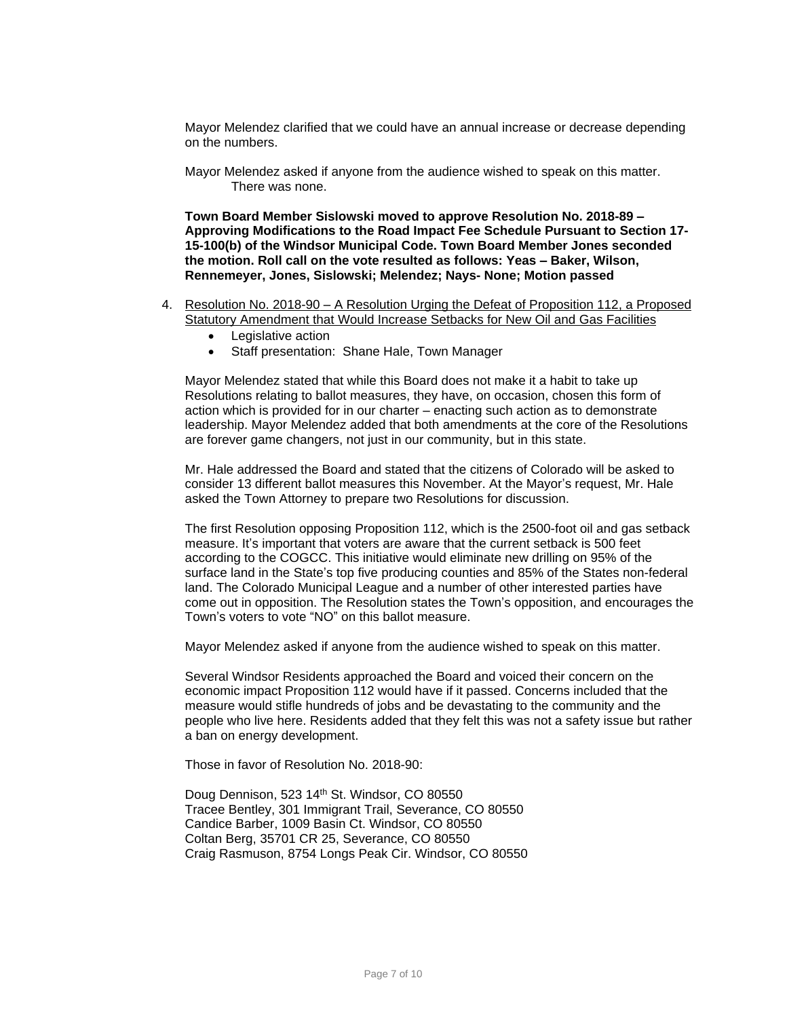Mayor Melendez clarified that we could have an annual increase or decrease depending on the numbers.

Mayor Melendez asked if anyone from the audience wished to speak on this matter. There was none.

**Town Board Member Sislowski moved to approve Resolution No. 2018-89 – Approving Modifications to the Road Impact Fee Schedule Pursuant to Section 17- 15-100(b) of the Windsor Municipal Code. Town Board Member Jones seconded the motion. Roll call on the vote resulted as follows: Yeas – Baker, Wilson, Rennemeyer, Jones, Sislowski; Melendez; Nays- None; Motion passed**

- 4. Resolution No. 2018-90 A Resolution Urging the Defeat of Proposition 112, a Proposed Statutory Amendment that Would Increase Setbacks for New Oil and Gas Facilities
	- Legislative action
	- Staff presentation: Shane Hale, Town Manager

Mayor Melendez stated that while this Board does not make it a habit to take up Resolutions relating to ballot measures, they have, on occasion, chosen this form of action which is provided for in our charter – enacting such action as to demonstrate leadership. Mayor Melendez added that both amendments at the core of the Resolutions are forever game changers, not just in our community, but in this state.

Mr. Hale addressed the Board and stated that the citizens of Colorado will be asked to consider 13 different ballot measures this November. At the Mayor's request, Mr. Hale asked the Town Attorney to prepare two Resolutions for discussion.

The first Resolution opposing Proposition 112, which is the 2500-foot oil and gas setback measure. It's important that voters are aware that the current setback is 500 feet according to the COGCC. This initiative would eliminate new drilling on 95% of the surface land in the State's top five producing counties and 85% of the States non-federal land. The Colorado Municipal League and a number of other interested parties have come out in opposition. The Resolution states the Town's opposition, and encourages the Town's voters to vote "NO" on this ballot measure.

Mayor Melendez asked if anyone from the audience wished to speak on this matter.

Several Windsor Residents approached the Board and voiced their concern on the economic impact Proposition 112 would have if it passed. Concerns included that the measure would stifle hundreds of jobs and be devastating to the community and the people who live here. Residents added that they felt this was not a safety issue but rather a ban on energy development.

Those in favor of Resolution No. 2018-90:

Doug Dennison, 523 14<sup>th</sup> St. Windsor, CO 80550 Tracee Bentley, 301 Immigrant Trail, Severance, CO 80550 Candice Barber, 1009 Basin Ct. Windsor, CO 80550 Coltan Berg, 35701 CR 25, Severance, CO 80550 Craig Rasmuson, 8754 Longs Peak Cir. Windsor, CO 80550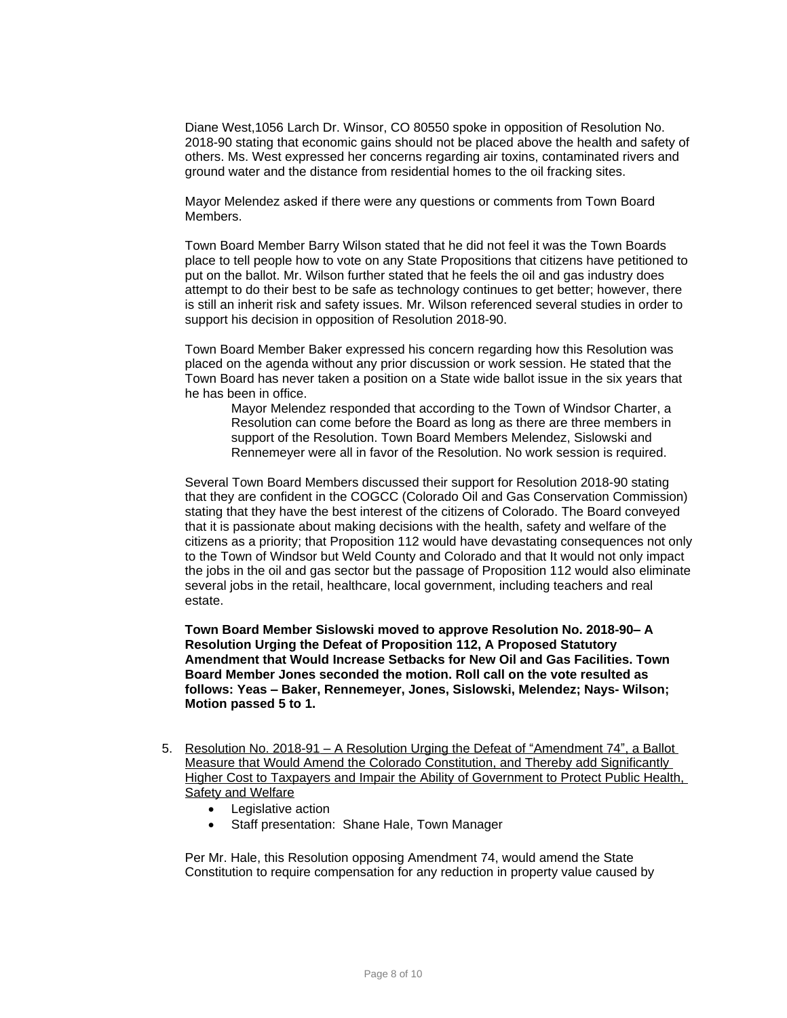Diane West,1056 Larch Dr. Winsor, CO 80550 spoke in opposition of Resolution No. 2018-90 stating that economic gains should not be placed above the health and safety of others. Ms. West expressed her concerns regarding air toxins, contaminated rivers and ground water and the distance from residential homes to the oil fracking sites.

Mayor Melendez asked if there were any questions or comments from Town Board Members.

Town Board Member Barry Wilson stated that he did not feel it was the Town Boards place to tell people how to vote on any State Propositions that citizens have petitioned to put on the ballot. Mr. Wilson further stated that he feels the oil and gas industry does attempt to do their best to be safe as technology continues to get better; however, there is still an inherit risk and safety issues. Mr. Wilson referenced several studies in order to support his decision in opposition of Resolution 2018-90.

Town Board Member Baker expressed his concern regarding how this Resolution was placed on the agenda without any prior discussion or work session. He stated that the Town Board has never taken a position on a State wide ballot issue in the six years that he has been in office.

Mayor Melendez responded that according to the Town of Windsor Charter, a Resolution can come before the Board as long as there are three members in support of the Resolution. Town Board Members Melendez, Sislowski and Rennemeyer were all in favor of the Resolution. No work session is required.

Several Town Board Members discussed their support for Resolution 2018-90 stating that they are confident in the COGCC (Colorado Oil and Gas Conservation Commission) stating that they have the best interest of the citizens of Colorado. The Board conveyed that it is passionate about making decisions with the health, safety and welfare of the citizens as a priority; that Proposition 112 would have devastating consequences not only to the Town of Windsor but Weld County and Colorado and that It would not only impact the jobs in the oil and gas sector but the passage of Proposition 112 would also eliminate several jobs in the retail, healthcare, local government, including teachers and real estate.

**Town Board Member Sislowski moved to approve Resolution No. 2018-90– A Resolution Urging the Defeat of Proposition 112, A Proposed Statutory Amendment that Would Increase Setbacks for New Oil and Gas Facilities. Town Board Member Jones seconded the motion. Roll call on the vote resulted as follows: Yeas – Baker, Rennemeyer, Jones, Sislowski, Melendez; Nays- Wilson; Motion passed 5 to 1.**

- 5. Resolution No. 2018-91 A Resolution Urging the Defeat of "Amendment 74", a Ballot Measure that Would Amend the Colorado Constitution, and Thereby add Significantly Higher Cost to Taxpayers and Impair the Ability of Government to Protect Public Health, **Safety and Welfare** 
	- Legislative action
	- Staff presentation: Shane Hale, Town Manager

Per Mr. Hale, this Resolution opposing Amendment 74, would amend the State Constitution to require compensation for any reduction in property value caused by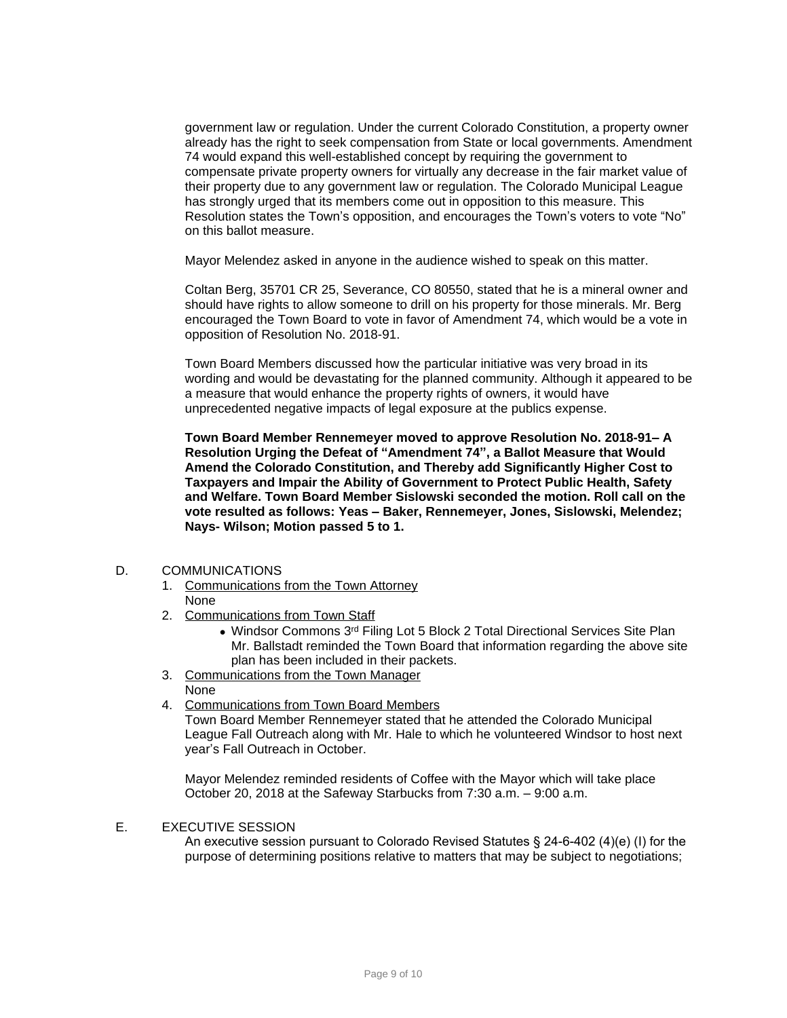government law or regulation. Under the current Colorado Constitution, a property owner already has the right to seek compensation from State or local governments. Amendment 74 would expand this well-established concept by requiring the government to compensate private property owners for virtually any decrease in the fair market value of their property due to any government law or regulation. The Colorado Municipal League has strongly urged that its members come out in opposition to this measure. This Resolution states the Town's opposition, and encourages the Town's voters to vote "No" on this ballot measure.

Mayor Melendez asked in anyone in the audience wished to speak on this matter.

Coltan Berg, 35701 CR 25, Severance, CO 80550, stated that he is a mineral owner and should have rights to allow someone to drill on his property for those minerals. Mr. Berg encouraged the Town Board to vote in favor of Amendment 74, which would be a vote in opposition of Resolution No. 2018-91.

Town Board Members discussed how the particular initiative was very broad in its wording and would be devastating for the planned community. Although it appeared to be a measure that would enhance the property rights of owners, it would have unprecedented negative impacts of legal exposure at the publics expense.

**Town Board Member Rennemeyer moved to approve Resolution No. 2018-91– A Resolution Urging the Defeat of "Amendment 74", a Ballot Measure that Would Amend the Colorado Constitution, and Thereby add Significantly Higher Cost to Taxpayers and Impair the Ability of Government to Protect Public Health, Safety and Welfare. Town Board Member Sislowski seconded the motion. Roll call on the vote resulted as follows: Yeas – Baker, Rennemeyer, Jones, Sislowski, Melendez; Nays- Wilson; Motion passed 5 to 1.** 

### D. COMMUNICATIONS

- 1. Communications from the Town Attorney None
- 2. Communications from Town Staff
	- Windsor Commons 3<sup>rd</sup> Filing Lot 5 Block 2 Total Directional Services Site Plan Mr. Ballstadt reminded the Town Board that information regarding the above site plan has been included in their packets.
- 3. Communications from the Town Manager

None

4. Communications from Town Board Members

Town Board Member Rennemeyer stated that he attended the Colorado Municipal League Fall Outreach along with Mr. Hale to which he volunteered Windsor to host next year's Fall Outreach in October.

Mayor Melendez reminded residents of Coffee with the Mayor which will take place October 20, 2018 at the Safeway Starbucks from 7:30 a.m. – 9:00 a.m.

# E. EXECUTIVE SESSION

An executive session pursuant to Colorado Revised Statutes § 24-6-402 (4)(e) (I) for the purpose of determining positions relative to matters that may be subject to negotiations;